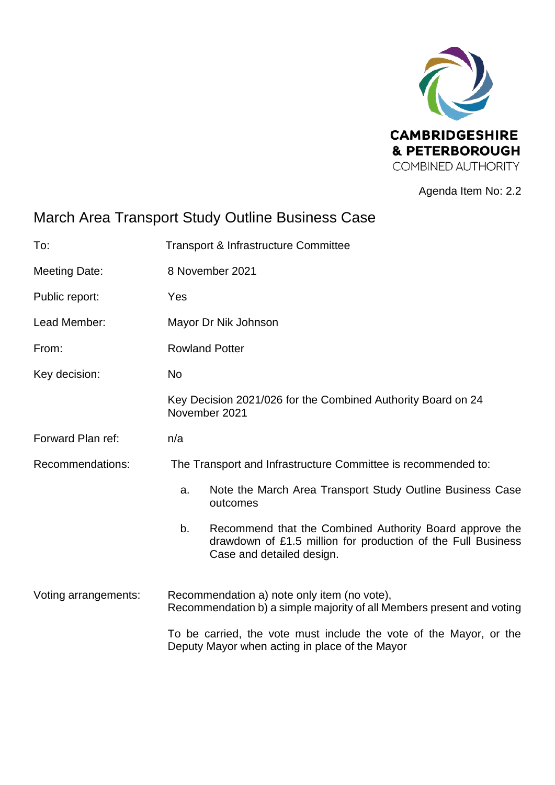

Agenda Item No: 2.2

# March Area Transport Study Outline Business Case

| To:                  | <b>Transport &amp; Infrastructure Committee</b>                                                                                                            |
|----------------------|------------------------------------------------------------------------------------------------------------------------------------------------------------|
| <b>Meeting Date:</b> | 8 November 2021                                                                                                                                            |
| Public report:       | Yes                                                                                                                                                        |
| Lead Member:         | Mayor Dr Nik Johnson                                                                                                                                       |
| From:                | <b>Rowland Potter</b>                                                                                                                                      |
| Key decision:        | No                                                                                                                                                         |
|                      | Key Decision 2021/026 for the Combined Authority Board on 24<br>November 2021                                                                              |
| Forward Plan ref:    | n/a                                                                                                                                                        |
| Recommendations:     | The Transport and Infrastructure Committee is recommended to:                                                                                              |
|                      | Note the March Area Transport Study Outline Business Case<br>a.<br>outcomes                                                                                |
|                      | b.<br>Recommend that the Combined Authority Board approve the<br>drawdown of £1.5 million for production of the Full Business<br>Case and detailed design. |
| Voting arrangements: | Recommendation a) note only item (no vote),<br>Recommendation b) a simple majority of all Members present and voting                                       |
|                      | To be carried, the vote must include the vote of the Mayor, or the<br>Deputy Mayor when acting in place of the Mayor                                       |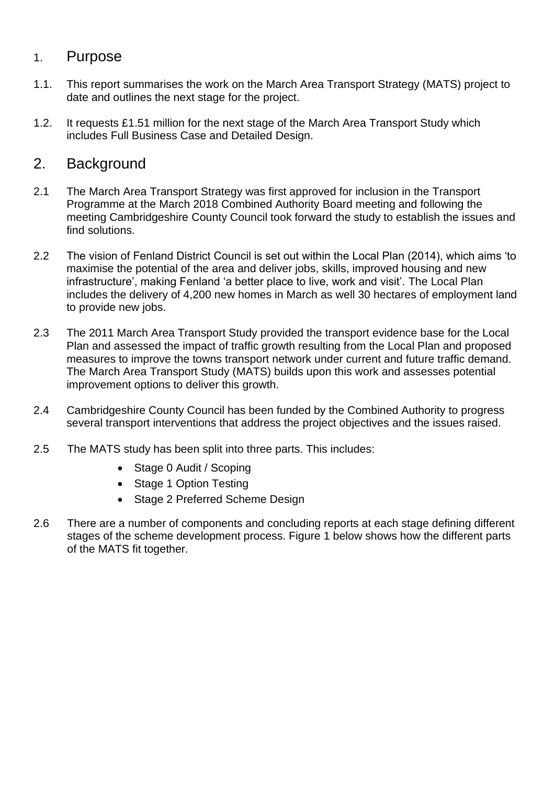### 1. Purpose

- 1.1. This report summarises the work on the March Area Transport Strategy (MATS) project to date and outlines the next stage for the project.
- 1.2. It requests £1.51 million for the next stage of the March Area Transport Study which includes Full Business Case and Detailed Design.

### 2. Background

- 2.1 The March Area Transport Strategy was first approved for inclusion in the Transport Programme at the March 2018 Combined Authority Board meeting and following the meeting Cambridgeshire County Council took forward the study to establish the issues and find solutions.
- 2.2 The vision of Fenland District Council is set out within the Local Plan (2014), which aims 'to maximise the potential of the area and deliver jobs, skills, improved housing and new infrastructure', making Fenland 'a better place to live, work and visit'. The Local Plan includes the delivery of 4,200 new homes in March as well 30 hectares of employment land to provide new jobs.
- 2.3 The 2011 March Area Transport Study provided the transport evidence base for the Local Plan and assessed the impact of traffic growth resulting from the Local Plan and proposed measures to improve the towns transport network under current and future traffic demand. The March Area Transport Study (MATS) builds upon this work and assesses potential improvement options to deliver this growth.
- 2.4 Cambridgeshire County Council has been funded by the Combined Authority to progress several transport interventions that address the project objectives and the issues raised.
- 2.5 The MATS study has been split into three parts. This includes:
	- Stage 0 Audit / Scoping
	- Stage 1 Option Testing
	- Stage 2 Preferred Scheme Design
- 2.6 There are a number of components and concluding reports at each stage defining different stages of the scheme development process. Figure 1 below shows how the different parts of the MATS fit together.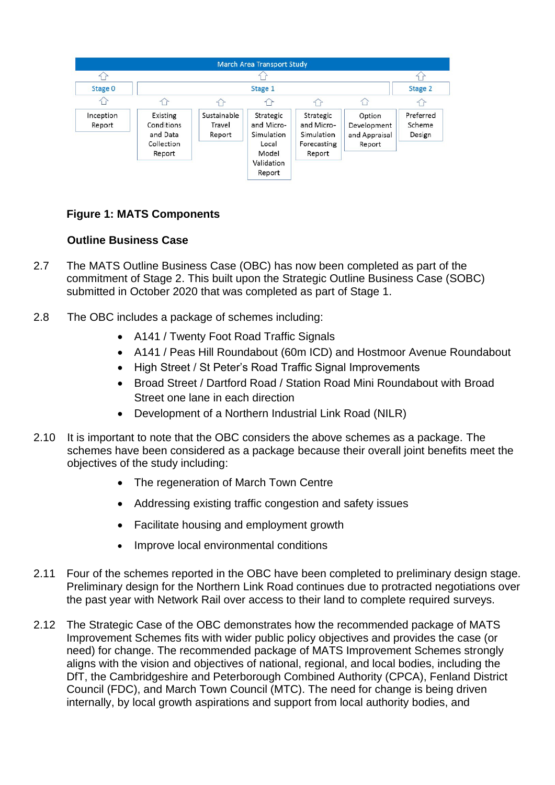

### **Figure 1: MATS Components**

#### **Outline Business Case**

- 2.7 The MATS Outline Business Case (OBC) has now been completed as part of the commitment of Stage 2. This built upon the Strategic Outline Business Case (SOBC) submitted in October 2020 that was completed as part of Stage 1.
- 2.8 The OBC includes a package of schemes including:
	- A141 / Twenty Foot Road Traffic Signals
	- A141 / Peas Hill Roundabout (60m ICD) and Hostmoor Avenue Roundabout
	- High Street / St Peter's Road Traffic Signal Improvements
	- Broad Street / Dartford Road / Station Road Mini Roundabout with Broad Street one lane in each direction
	- Development of a Northern Industrial Link Road (NILR)
- 2.10 It is important to note that the OBC considers the above schemes as a package. The schemes have been considered as a package because their overall joint benefits meet the objectives of the study including:
	- The regeneration of March Town Centre
	- Addressing existing traffic congestion and safety issues
	- Facilitate housing and employment growth
	- Improve local environmental conditions
- 2.11 Four of the schemes reported in the OBC have been completed to preliminary design stage. Preliminary design for the Northern Link Road continues due to protracted negotiations over the past year with Network Rail over access to their land to complete required surveys.
- 2.12 The Strategic Case of the OBC demonstrates how the recommended package of MATS Improvement Schemes fits with wider public policy objectives and provides the case (or need) for change. The recommended package of MATS Improvement Schemes strongly aligns with the vision and objectives of national, regional, and local bodies, including the DfT, the Cambridgeshire and Peterborough Combined Authority (CPCA), Fenland District Council (FDC), and March Town Council (MTC). The need for change is being driven internally, by local growth aspirations and support from local authority bodies, and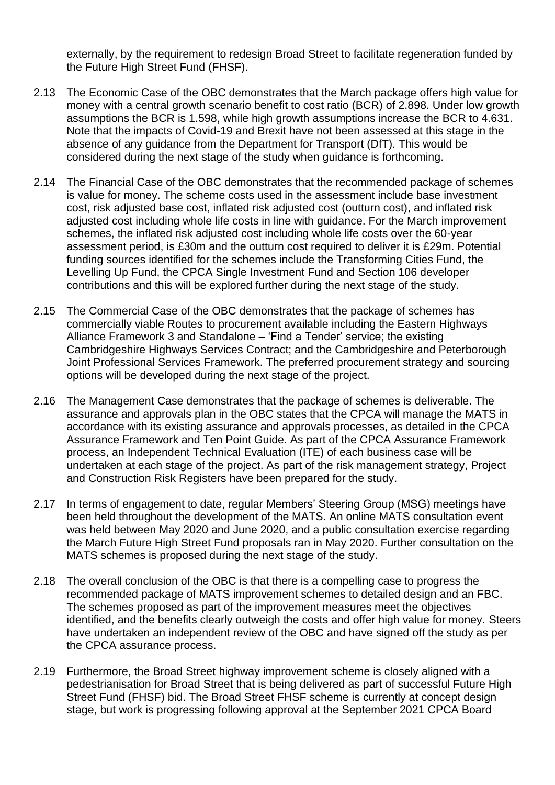externally, by the requirement to redesign Broad Street to facilitate regeneration funded by the Future High Street Fund (FHSF).

- 2.13 The Economic Case of the OBC demonstrates that the March package offers high value for money with a central growth scenario benefit to cost ratio (BCR) of 2.898. Under low growth assumptions the BCR is 1.598, while high growth assumptions increase the BCR to 4.631. Note that the impacts of Covid-19 and Brexit have not been assessed at this stage in the absence of any guidance from the Department for Transport (DfT). This would be considered during the next stage of the study when guidance is forthcoming.
- 2.14 The Financial Case of the OBC demonstrates that the recommended package of schemes is value for money. The scheme costs used in the assessment include base investment cost, risk adjusted base cost, inflated risk adjusted cost (outturn cost), and inflated risk adjusted cost including whole life costs in line with guidance. For the March improvement schemes, the inflated risk adjusted cost including whole life costs over the 60-year assessment period, is £30m and the outturn cost required to deliver it is £29m. Potential funding sources identified for the schemes include the Transforming Cities Fund, the Levelling Up Fund, the CPCA Single Investment Fund and Section 106 developer contributions and this will be explored further during the next stage of the study.
- 2.15 The Commercial Case of the OBC demonstrates that the package of schemes has commercially viable Routes to procurement available including the Eastern Highways Alliance Framework 3 and Standalone – 'Find a Tender' service; the existing Cambridgeshire Highways Services Contract; and the Cambridgeshire and Peterborough Joint Professional Services Framework. The preferred procurement strategy and sourcing options will be developed during the next stage of the project.
- 2.16 The Management Case demonstrates that the package of schemes is deliverable. The assurance and approvals plan in the OBC states that the CPCA will manage the MATS in accordance with its existing assurance and approvals processes, as detailed in the CPCA Assurance Framework and Ten Point Guide. As part of the CPCA Assurance Framework process, an Independent Technical Evaluation (ITE) of each business case will be undertaken at each stage of the project. As part of the risk management strategy, Project and Construction Risk Registers have been prepared for the study.
- 2.17 In terms of engagement to date, regular Members' Steering Group (MSG) meetings have been held throughout the development of the MATS. An online MATS consultation event was held between May 2020 and June 2020, and a public consultation exercise regarding the March Future High Street Fund proposals ran in May 2020. Further consultation on the MATS schemes is proposed during the next stage of the study.
- 2.18 The overall conclusion of the OBC is that there is a compelling case to progress the recommended package of MATS improvement schemes to detailed design and an FBC. The schemes proposed as part of the improvement measures meet the objectives identified, and the benefits clearly outweigh the costs and offer high value for money. Steers have undertaken an independent review of the OBC and have signed off the study as per the CPCA assurance process.
- 2.19 Furthermore, the Broad Street highway improvement scheme is closely aligned with a pedestrianisation for Broad Street that is being delivered as part of successful Future High Street Fund (FHSF) bid. The Broad Street FHSF scheme is currently at concept design stage, but work is progressing following approval at the September 2021 CPCA Board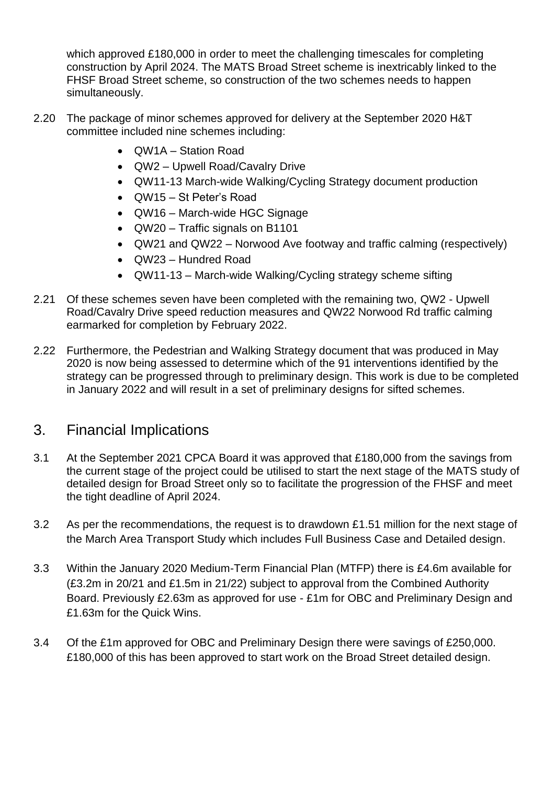which approved £180,000 in order to meet the challenging timescales for completing construction by April 2024. The MATS Broad Street scheme is inextricably linked to the FHSF Broad Street scheme, so construction of the two schemes needs to happen simultaneously.

- 2.20 The package of minor schemes approved for delivery at the September 2020 H&T committee included nine schemes including:
	- QW1A Station Road
	- QW2 Upwell Road/Cavalry Drive
	- QW11-13 March-wide Walking/Cycling Strategy document production
	- QW15 St Peter's Road
	- QW16 March-wide HGC Signage
	- QW20 Traffic signals on B1101
	- QW21 and QW22 Norwood Ave footway and traffic calming (respectively)
	- QW23 Hundred Road
	- QW11-13 March-wide Walking/Cycling strategy scheme sifting
- 2.21 Of these schemes seven have been completed with the remaining two, QW2 Upwell Road/Cavalry Drive speed reduction measures and QW22 Norwood Rd traffic calming earmarked for completion by February 2022.
- 2.22 Furthermore, the Pedestrian and Walking Strategy document that was produced in May 2020 is now being assessed to determine which of the 91 interventions identified by the strategy can be progressed through to preliminary design. This work is due to be completed in January 2022 and will result in a set of preliminary designs for sifted schemes.

### 3. Financial Implications

- 3.1 At the September 2021 CPCA Board it was approved that £180,000 from the savings from the current stage of the project could be utilised to start the next stage of the MATS study of detailed design for Broad Street only so to facilitate the progression of the FHSF and meet the tight deadline of April 2024.
- 3.2 As per the recommendations, the request is to drawdown £1.51 million for the next stage of the March Area Transport Study which includes Full Business Case and Detailed design.
- 3.3 Within the January 2020 Medium-Term Financial Plan (MTFP) there is £4.6m available for (£3.2m in 20/21 and £1.5m in 21/22) subject to approval from the Combined Authority Board. Previously £2.63m as approved for use - £1m for OBC and Preliminary Design and £1.63m for the Quick Wins.
- 3.4 Of the £1m approved for OBC and Preliminary Design there were savings of £250,000. £180,000 of this has been approved to start work on the Broad Street detailed design.